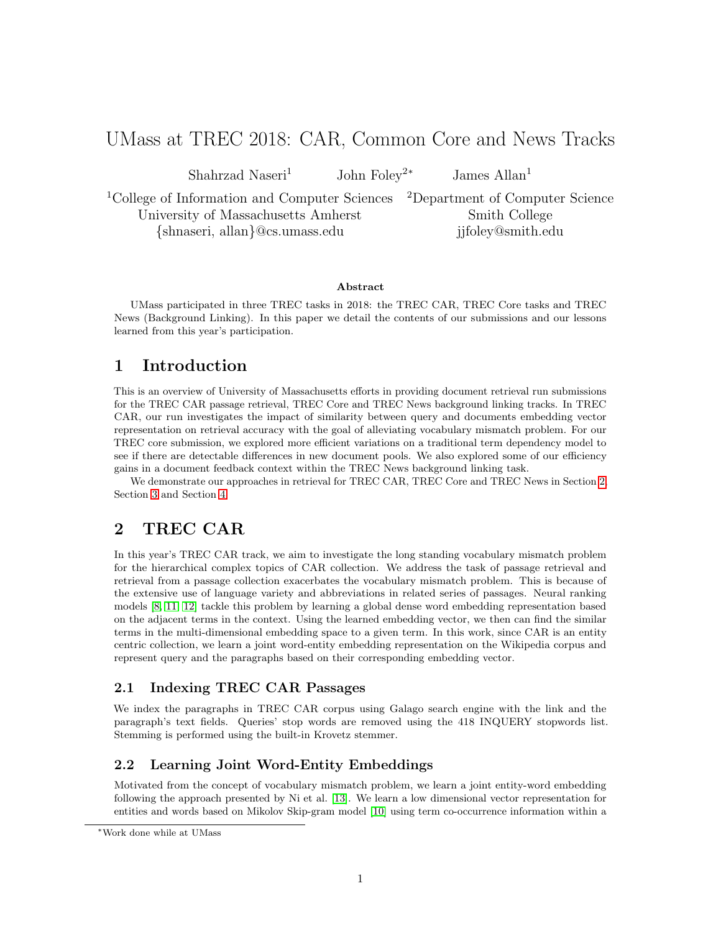# UMass at TREC 2018: CAR, Common Core and News Tracks

Shahrzad Naseri<sup>1</sup> John Foley<sup>2∗</sup> James Allan<sup>1</sup>

<sup>1</sup>College of Information and Computer Sciences <sup>2</sup>Department of Computer Science University of Massachusetts Amherst Smith College {shnaseri, allan}@cs.umass.edu jjfoley@smith.edu

### Abstract

UMass participated in three TREC tasks in 2018: the TREC CAR, TREC Core tasks and TREC News (Background Linking). In this paper we detail the contents of our submissions and our lessons learned from this year's participation.

## 1 Introduction

This is an overview of University of Massachusetts efforts in providing document retrieval run submissions for the TREC CAR passage retrieval, TREC Core and TREC News background linking tracks. In TREC CAR, our run investigates the impact of similarity between query and documents embedding vector representation on retrieval accuracy with the goal of alleviating vocabulary mismatch problem. For our TREC core submission, we explored more efficient variations on a traditional term dependency model to see if there are detectable differences in new document pools. We also explored some of our efficiency gains in a document feedback context within the TREC News background linking task.

We demonstrate our approaches in retrieval for TREC CAR, TREC Core and TREC News in Section [2,](#page-0-0) Section [3](#page-1-0) and Section [4.](#page-3-0)

## <span id="page-0-0"></span>2 TREC CAR

In this year's TREC CAR track, we aim to investigate the long standing vocabulary mismatch problem for the hierarchical complex topics of CAR collection. We address the task of passage retrieval and retrieval from a passage collection exacerbates the vocabulary mismatch problem. This is because of the extensive use of language variety and abbreviations in related series of passages. Neural ranking models [\[8,](#page-5-0) [11,](#page-6-0) [12\]](#page-6-1) tackle this problem by learning a global dense word embedding representation based on the adjacent terms in the context. Using the learned embedding vector, we then can find the similar terms in the multi-dimensional embedding space to a given term. In this work, since CAR is an entity centric collection, we learn a joint word-entity embedding representation on the Wikipedia corpus and represent query and the paragraphs based on their corresponding embedding vector.

## 2.1 Indexing TREC CAR Passages

We index the paragraphs in TREC CAR corpus using Galago search engine with the link and the paragraph's text fields. Queries' stop words are removed using the 418 INQUERY stopwords list. Stemming is performed using the built-in Krovetz stemmer.

## 2.2 Learning Joint Word-Entity Embeddings

Motivated from the concept of vocabulary mismatch problem, we learn a joint entity-word embedding following the approach presented by Ni et al. [\[13\]](#page-6-2). We learn a low dimensional vector representation for entities and words based on Mikolov Skip-gram model [\[10\]](#page-6-3) using term co-occurrence information within a

<sup>∗</sup>Work done while at UMass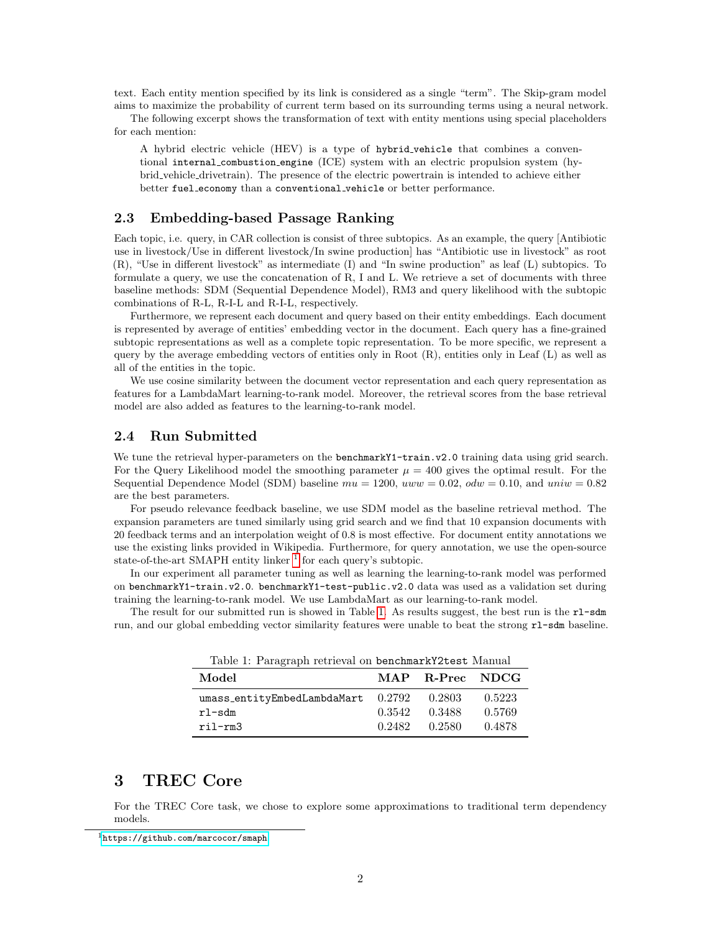text. Each entity mention specified by its link is considered as a single "term". The Skip-gram model aims to maximize the probability of current term based on its surrounding terms using a neural network.

The following excerpt shows the transformation of text with entity mentions using special placeholders for each mention:

A hybrid electric vehicle (HEV) is a type of hybrid vehicle that combines a conventional internal combustion engine (ICE) system with an electric propulsion system (hybrid vehicle drivetrain). The presence of the electric powertrain is intended to achieve either better fuel economy than a conventional vehicle or better performance.

## 2.3 Embedding-based Passage Ranking

Each topic, i.e. query, in CAR collection is consist of three subtopics. As an example, the query [Antibiotic use in livestock/Use in different livestock/In swine production] has "Antibiotic use in livestock" as root (R), "Use in different livestock" as intermediate (I) and "In swine production" as leaf (L) subtopics. To formulate a query, we use the concatenation of R, I and L. We retrieve a set of documents with three baseline methods: SDM (Sequential Dependence Model), RM3 and query likelihood with the subtopic combinations of R-L, R-I-L and R-I-L, respectively.

Furthermore, we represent each document and query based on their entity embeddings. Each document is represented by average of entities' embedding vector in the document. Each query has a fine-grained subtopic representations as well as a complete topic representation. To be more specific, we represent a query by the average embedding vectors of entities only in Root (R), entities only in Leaf (L) as well as all of the entities in the topic.

We use cosine similarity between the document vector representation and each query representation as features for a LambdaMart learning-to-rank model. Moreover, the retrieval scores from the base retrieval model are also added as features to the learning-to-rank model.

## 2.4 Run Submitted

We tune the retrieval hyper-parameters on the **benchmarkY1-train.v2.0** training data using grid search. For the Query Likelihood model the smoothing parameter  $\mu = 400$  gives the optimal result. For the Sequential Dependence Model (SDM) baseline  $mu = 1200$ ,  $uvw = 0.02$ ,  $odw = 0.10$ , and  $uniw = 0.82$ are the best parameters.

For pseudo relevance feedback baseline, we use SDM model as the baseline retrieval method. The expansion parameters are tuned similarly using grid search and we find that 10 expansion documents with 20 feedback terms and an interpolation weight of 0.8 is most effective. For document entity annotations we use the existing links provided in Wikipedia. Furthermore, for query annotation, we use the open-source state-of-the-art SMAPH entity linker  $<sup>1</sup>$  $<sup>1</sup>$  $<sup>1</sup>$  for each query's subtopic.</sup>

In our experiment all parameter tuning as well as learning the learning-to-rank model was performed on benchmarkY1-train.v2.0. benchmarkY1-test-public.v2.0 data was used as a validation set during training the learning-to-rank model. We use LambdaMart as our learning-to-rank model.

The result for our submitted run is showed in Table [1.](#page-1-2) As results suggest, the best run is the rl-sdm run, and our global embedding vector similarity features were unable to beat the strong r1-sdm baseline.

| Table 1: Paragraph retrieval on benchmarkY2test Manual |        |                 |        |  |
|--------------------------------------------------------|--------|-----------------|--------|--|
| Model                                                  |        | MAP R-Prec NDCG |        |  |
| $umass\_entityEmbedLambdaMart$ 0.2792                  |        | 0.2803          | 0.5223 |  |
| $r$ l-sdm                                              | 0.3542 | 0.3488          | 0.5769 |  |
| ril-rm3                                                | 0.2482 | 0.2580          | 0.4878 |  |

<span id="page-1-2"></span>Table 1: Paragraph retrieval on benchmarkY2test Manual

## <span id="page-1-0"></span>3 TREC Core

For the TREC Core task, we chose to explore some approximations to traditional term dependency models.

<span id="page-1-1"></span> $1$ <https://github.com/marcocor/smaph>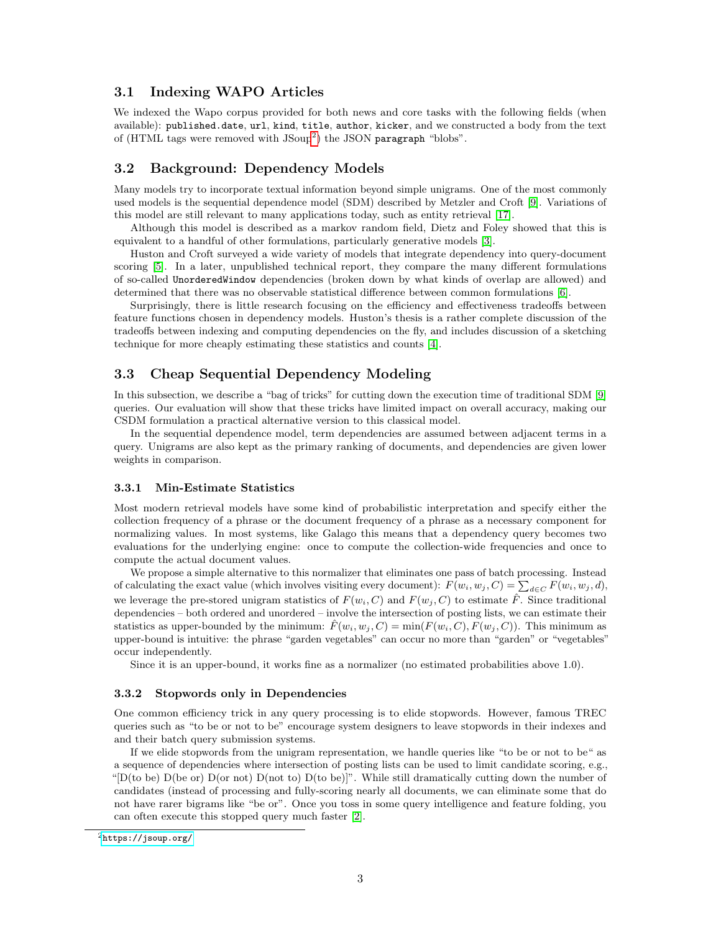## <span id="page-2-2"></span>3.1 Indexing WAPO Articles

We indexed the Wapo corpus provided for both news and core tasks with the following fields (when available): published.date, url, kind, title, author, kicker, and we constructed a body from the text of  $(HTML$  tags were removed with  $J\text{Soup}^2$  $J\text{Soup}^2$ ) the JSON paragraph "blobs".

## 3.2 Background: Dependency Models

Many models try to incorporate textual information beyond simple unigrams. One of the most commonly used models is the sequential dependence model (SDM) described by Metzler and Croft [\[9\]](#page-5-1). Variations of this model are still relevant to many applications today, such as entity retrieval [\[17\]](#page-6-4).

Although this model is described as a markov random field, Dietz and Foley showed that this is equivalent to a handful of other formulations, particularly generative models [\[3\]](#page-5-2).

Huston and Croft surveyed a wide variety of models that integrate dependency into query-document scoring [\[5\]](#page-5-3). In a later, unpublished technical report, they compare the many different formulations of so-called UnorderedWindow dependencies (broken down by what kinds of overlap are allowed) and determined that there was no observable statistical difference between common formulations [\[6\]](#page-5-4).

Surprisingly, there is little research focusing on the efficiency and effectiveness tradeoffs between feature functions chosen in dependency models. Huston's thesis is a rather complete discussion of the tradeoffs between indexing and computing dependencies on the fly, and includes discussion of a sketching technique for more cheaply estimating these statistics and counts [\[4\]](#page-5-5).

## 3.3 Cheap Sequential Dependency Modeling

In this subsection, we describe a "bag of tricks" for cutting down the execution time of traditional SDM [\[9\]](#page-5-1) queries. Our evaluation will show that these tricks have limited impact on overall accuracy, making our CSDM formulation a practical alternative version to this classical model.

In the sequential dependence model, term dependencies are assumed between adjacent terms in a query. Unigrams are also kept as the primary ranking of documents, and dependencies are given lower weights in comparison.

#### <span id="page-2-1"></span>3.3.1 Min-Estimate Statistics

Most modern retrieval models have some kind of probabilistic interpretation and specify either the collection frequency of a phrase or the document frequency of a phrase as a necessary component for normalizing values. In most systems, like Galago this means that a dependency query becomes two evaluations for the underlying engine: once to compute the collection-wide frequencies and once to compute the actual document values.

We propose a simple alternative to this normalizer that eliminates one pass of batch processing. Instead of calculating the exact value (which involves visiting every document):  $F(w_i, w_j, C) = \sum_{d \in C} F(w_i, w_j, d)$ , we leverage the pre-stored unigram statistics of  $F(w_i, C)$  and  $F(w_i, C)$  to estimate  $\hat{F}$ . Since traditional dependencies – both ordered and unordered – involve the intersection of posting lists, we can estimate their statistics as upper-bounded by the minimum:  $\hat{F}(w_i, w_j, C) = \min(F(w_i, C), F(w_j, C))$ . This minimum as upper-bound is intuitive: the phrase "garden vegetables" can occur no more than "garden" or "vegetables" occur independently.

Since it is an upper-bound, it works fine as a normalizer (no estimated probabilities above 1.0).

### 3.3.2 Stopwords only in Dependencies

One common efficiency trick in any query processing is to elide stopwords. However, famous TREC queries such as "to be or not to be" encourage system designers to leave stopwords in their indexes and and their batch query submission systems.

If we elide stopwords from the unigram representation, we handle queries like "to be or not to be" as a sequence of dependencies where intersection of posting lists can be used to limit candidate scoring, e.g., " $D(t_0)$  D(be or)  $D($ or not)  $D($ not to)  $D(t_0)$  be)]". While still dramatically cutting down the number of candidates (instead of processing and fully-scoring nearly all documents, we can eliminate some that do not have rarer bigrams like "be or". Once you toss in some query intelligence and feature folding, you can often execute this stopped query much faster [\[2\]](#page-5-6).

<span id="page-2-0"></span><sup>2</sup><https://jsoup.org/>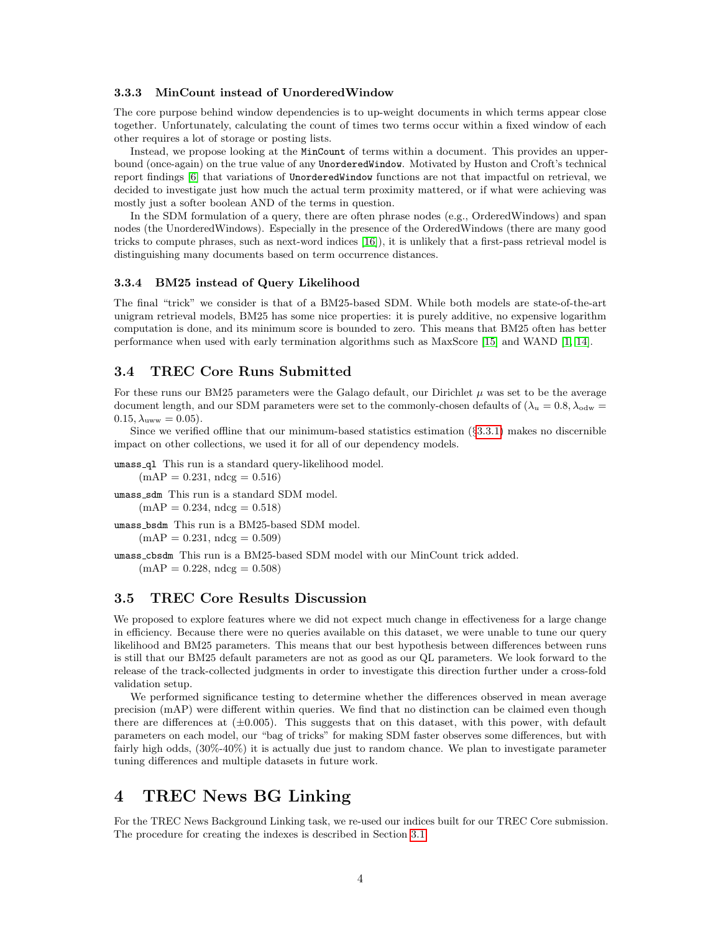#### 3.3.3 MinCount instead of UnorderedWindow

The core purpose behind window dependencies is to up-weight documents in which terms appear close together. Unfortunately, calculating the count of times two terms occur within a fixed window of each other requires a lot of storage or posting lists.

Instead, we propose looking at the MinCount of terms within a document. This provides an upperbound (once-again) on the true value of any UnorderedWindow. Motivated by Huston and Croft's technical report findings [\[6\]](#page-5-4) that variations of UnorderedWindow functions are not that impactful on retrieval, we decided to investigate just how much the actual term proximity mattered, or if what were achieving was mostly just a softer boolean AND of the terms in question.

In the SDM formulation of a query, there are often phrase nodes (e.g., OrderedWindows) and span nodes (the UnorderedWindows). Especially in the presence of the OrderedWindows (there are many good tricks to compute phrases, such as next-word indices [\[16\]](#page-6-5)), it is unlikely that a first-pass retrieval model is distinguishing many documents based on term occurrence distances.

#### 3.3.4 BM25 instead of Query Likelihood

The final "trick" we consider is that of a BM25-based SDM. While both models are state-of-the-art unigram retrieval models, BM25 has some nice properties: it is purely additive, no expensive logarithm computation is done, and its minimum score is bounded to zero. This means that BM25 often has better performance when used with early termination algorithms such as MaxScore [\[15\]](#page-6-6) and WAND [\[1,](#page-5-7) [14\]](#page-6-7).

## 3.4 TREC Core Runs Submitted

For these runs our BM25 parameters were the Galago default, our Dirichlet  $\mu$  was set to be the average document length, and our SDM parameters were set to the commonly-chosen defaults of  $(\lambda_u = 0.8, \lambda_{\text{odw}} =$  $0.15, \lambda_{\text{uww}} = 0.05$ .

Since we verified offline that our minimum-based statistics estimation (§[3.3.1\)](#page-2-1) makes no discernible impact on other collections, we used it for all of our dependency models.

umass ql This run is a standard query-likelihood model.  $(mAP = 0.231, ndcg = 0.516)$ 

umass sdm This run is a standard SDM model.

 $(mAP = 0.234, ndcg = 0.518)$ 

umass bsdm This run is a BM25-based SDM model.

 $(mAP = 0.231, ndcg = 0.509)$ 

umass cbsdm This run is a BM25-based SDM model with our MinCount trick added.  $(mAP = 0.228, \text{ndcg} = 0.508)$ 

### 3.5 TREC Core Results Discussion

We proposed to explore features where we did not expect much change in effectiveness for a large change in efficiency. Because there were no queries available on this dataset, we were unable to tune our query likelihood and BM25 parameters. This means that our best hypothesis between differences between runs is still that our BM25 default parameters are not as good as our QL parameters. We look forward to the release of the track-collected judgments in order to investigate this direction further under a cross-fold validation setup.

We performed significance testing to determine whether the differences observed in mean average precision (mAP) were different within queries. We find that no distinction can be claimed even though there are differences at  $(\pm 0.005)$ . This suggests that on this dataset, with this power, with default parameters on each model, our "bag of tricks" for making SDM faster observes some differences, but with fairly high odds, (30%-40%) it is actually due just to random chance. We plan to investigate parameter tuning differences and multiple datasets in future work.

## <span id="page-3-0"></span>4 TREC News BG Linking

For the TREC News Background Linking task, we re-used our indices built for our TREC Core submission. The procedure for creating the indexes is described in Section [3.1.](#page-2-2)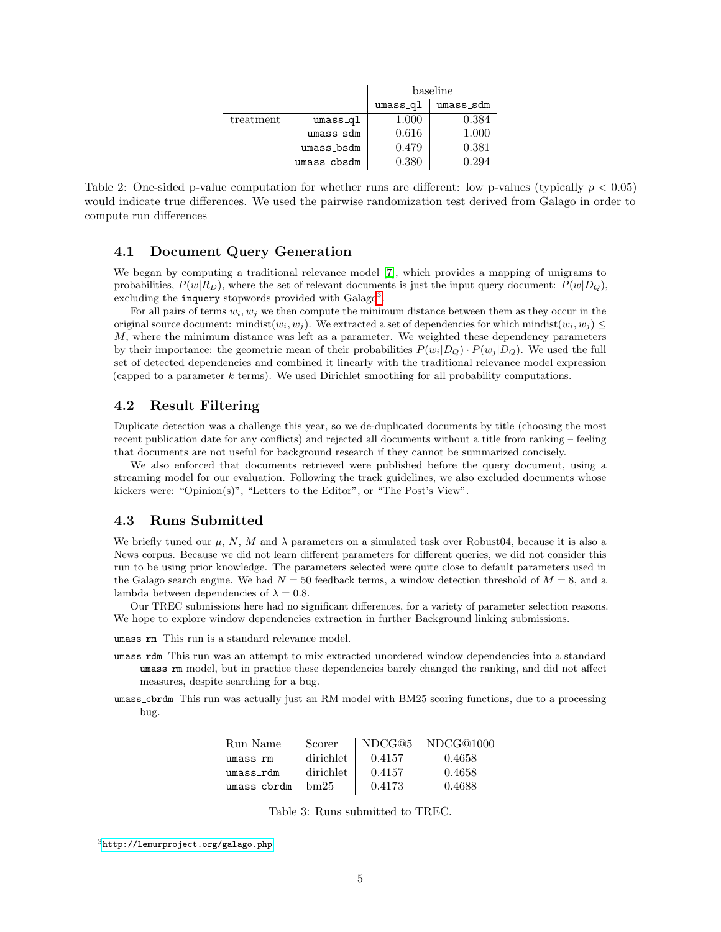|           |             | baseline  |           |  |
|-----------|-------------|-----------|-----------|--|
|           |             | $umss_q1$ | umass_sdm |  |
| treatment | umass_ql    | 1.000     | 0.384     |  |
|           | umass_sdm   | 0.616     | 1.000     |  |
|           | umass_bsdm  | 0.479     | 0.381     |  |
|           | umass_cbsdm | 0.380     | 0.294     |  |

Table 2: One-sided p-value computation for whether runs are different: low p-values (typically  $p < 0.05$ ) would indicate true differences. We used the pairwise randomization test derived from Galago in order to compute run differences

## 4.1 Document Query Generation

We began by computing a traditional relevance model [\[7\]](#page-5-8), which provides a mapping of unigrams to probabilities,  $P(w|R_D)$ , where the set of relevant documents is just the input query document:  $P(w|D_Q)$ , excluding the inquery stopwords provided with  $\text{Galago}^3$  $\text{Galago}^3$ .

For all pairs of terms  $w_i, w_j$  we then compute the minimum distance between them as they occur in the original source document: mindist $(w_i, w_j)$ . We extracted a set of dependencies for which mindist $(w_i, w_j) \leq$ M, where the minimum distance was left as a parameter. We weighted these dependency parameters by their importance: the geometric mean of their probabilities  $P(w_i|D_Q) \cdot P(w_j|D_Q)$ . We used the full set of detected dependencies and combined it linearly with the traditional relevance model expression (capped to a parameter  $k$  terms). We used Dirichlet smoothing for all probability computations.

## 4.2 Result Filtering

Duplicate detection was a challenge this year, so we de-duplicated documents by title (choosing the most recent publication date for any conflicts) and rejected all documents without a title from ranking – feeling that documents are not useful for background research if they cannot be summarized concisely.

We also enforced that documents retrieved were published before the query document, using a streaming model for our evaluation. Following the track guidelines, we also excluded documents whose kickers were: "Opinion(s)", "Letters to the Editor", or "The Post's View".

### 4.3 Runs Submitted

We briefly tuned our  $\mu$ , N, M and  $\lambda$  parameters on a simulated task over Robust04, because it is also a News corpus. Because we did not learn different parameters for different queries, we did not consider this run to be using prior knowledge. The parameters selected were quite close to default parameters used in the Galago search engine. We had  $N = 50$  feedback terms, a window detection threshold of  $M = 8$ , and a lambda between dependencies of  $\lambda = 0.8$ .

Our TREC submissions here had no significant differences, for a variety of parameter selection reasons. We hope to explore window dependencies extraction in further Background linking submissions.

umass rm This run is a standard relevance model.

- umass rdm This run was an attempt to mix extracted unordered window dependencies into a standard umass rm model, but in practice these dependencies barely changed the ranking, and did not affect measures, despite searching for a bug.
- umass cbrdm This run was actually just an RM model with BM25 scoring functions, due to a processing bug.

| Run Name    | Scorer    | NDCG@5 | NDCG@1000 |
|-------------|-----------|--------|-----------|
| umass rm    | dirichlet | 0.4157 | 0.4658    |
| umass rdm   | dirichlet | 0.4157 | 0.4658    |
| umass_cbrdm | bm 25     | 0.4173 | 0.4688    |

Table 3: Runs submitted to TREC.

<span id="page-4-0"></span><sup>3</sup><http://lemurproject.org/galago.php>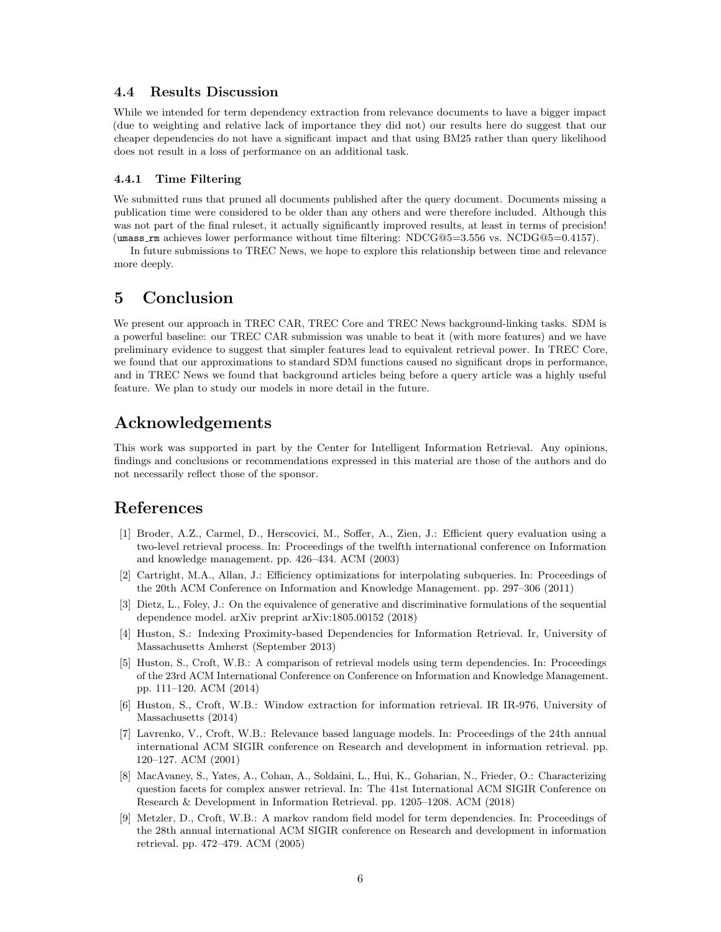## 4.4 Results Discussion

While we intended for term dependency extraction from relevance documents to have a bigger impact (due to weighting and relative lack of importance they did not) our results here do suggest that our cheaper dependencies do not have a significant impact and that using BM25 rather than query likelihood does not result in a loss of performance on an additional task.

### 4.4.1 Time Filtering

We submitted runs that pruned all documents published after the query document. Documents missing a publication time were considered to be older than any others and were therefore included. Although this was not part of the final ruleset, it actually significantly improved results, at least in terms of precision! (umass rm achieves lower performance without time filtering: NDCG@5=3.556 vs. NCDG@5=0.4157).

In future submissions to TREC News, we hope to explore this relationship between time and relevance more deeply.

## 5 Conclusion

We present our approach in TREC CAR, TREC Core and TREC News background-linking tasks. SDM is a powerful baseline: our TREC CAR submission was unable to beat it (with more features) and we have preliminary evidence to suggest that simpler features lead to equivalent retrieval power. In TREC Core, we found that our approximations to standard SDM functions caused no significant drops in performance, and in TREC News we found that background articles being before a query article was a highly useful feature. We plan to study our models in more detail in the future.

## Acknowledgements

This work was supported in part by the Center for Intelligent Information Retrieval. Any opinions, findings and conclusions or recommendations expressed in this material are those of the authors and do not necessarily reflect those of the sponsor.

## <span id="page-5-7"></span>References

- [1] Broder, A.Z., Carmel, D., Herscovici, M., Soffer, A., Zien, J.: Efficient query evaluation using a two-level retrieval process. In: Proceedings of the twelfth international conference on Information and knowledge management. pp. 426–434. ACM (2003)
- <span id="page-5-6"></span>[2] Cartright, M.A., Allan, J.: Efficiency optimizations for interpolating subqueries. In: Proceedings of the 20th ACM Conference on Information and Knowledge Management. pp. 297–306 (2011)
- <span id="page-5-2"></span>[3] Dietz, L., Foley, J.: On the equivalence of generative and discriminative formulations of the sequential dependence model. arXiv preprint arXiv:1805.00152 (2018)
- <span id="page-5-5"></span>[4] Huston, S.: Indexing Proximity-based Dependencies for Information Retrieval. Ir, University of Massachusetts Amherst (September 2013)
- <span id="page-5-3"></span>[5] Huston, S., Croft, W.B.: A comparison of retrieval models using term dependencies. In: Proceedings of the 23rd ACM International Conference on Conference on Information and Knowledge Management. pp. 111–120. ACM (2014)
- <span id="page-5-4"></span>[6] Huston, S., Croft, W.B.: Window extraction for information retrieval. IR IR-976, University of Massachusetts (2014)
- <span id="page-5-8"></span>[7] Lavrenko, V., Croft, W.B.: Relevance based language models. In: Proceedings of the 24th annual international ACM SIGIR conference on Research and development in information retrieval. pp. 120–127. ACM (2001)
- <span id="page-5-0"></span>[8] MacAvaney, S., Yates, A., Cohan, A., Soldaini, L., Hui, K., Goharian, N., Frieder, O.: Characterizing question facets for complex answer retrieval. In: The 41st International ACM SIGIR Conference on Research & Development in Information Retrieval. pp. 1205–1208. ACM (2018)
- <span id="page-5-1"></span>[9] Metzler, D., Croft, W.B.: A markov random field model for term dependencies. In: Proceedings of the 28th annual international ACM SIGIR conference on Research and development in information retrieval. pp. 472–479. ACM (2005)